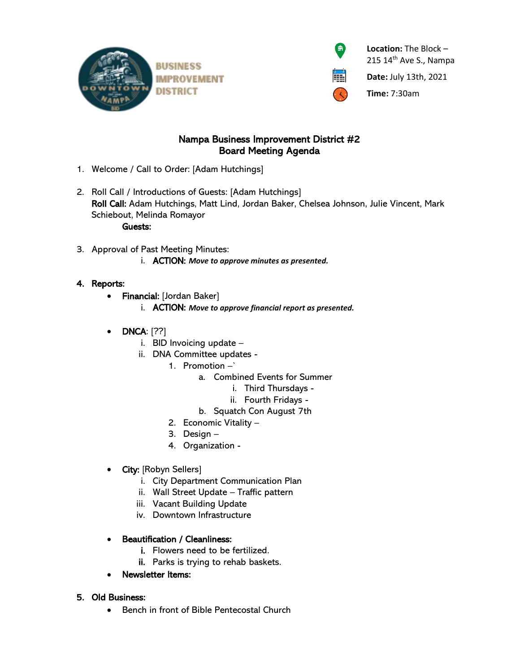



 $\hat{\mathbf{r}}$  **<b>Location:** The Block – 215 14<sup>th</sup> Ave S., Nampa

**Date:** July 13th, 2021

**Time:** 7:30am

# Nampa Business Improvement District #2 Board Meeting Agenda

- 1. Welcome / Call to Order: [Adam Hutchings]
- 2. Roll Call / Introductions of Guests: [Adam Hutchings] Roll Call: Adam Hutchings, Matt Lind, Jordan Baker, Chelsea Johnson, Julie Vincent, Mark Schiebout, Melinda Romayor Guests:
- 3. Approval of Past Meeting Minutes: i. ACTION: *Move to approve minutes as presented.*

## 4. Reports:

- Financial: [Jordan Baker]
	- i. ACTION: *Move to approve financial report as presented.*
- DNCA: [??]
	- i. BID Invoicing update –
	- ii. DNA Committee updates
		- 1. Promotion –`
			- a. Combined Events for Summer
				- i. Third Thursdays
					- ii. Fourth Fridays -
			- b. Squatch Con August 7th
			- 2. Economic Vitality –
			- 3. Design –
		- 4. Organization -
- City: [Robyn Sellers]
	- i. City Department Communication Plan
	- ii. Wall Street Update Traffic pattern
	- iii. Vacant Building Update
	- iv. Downtown Infrastructure

## • Beautification / Cleanliness:

- i. Flowers need to be fertilized.
- ii. Parks is trying to rehab baskets.
- Newsletter Items:

## 5. Old Business:

• Bench in front of Bible Pentecostal Church